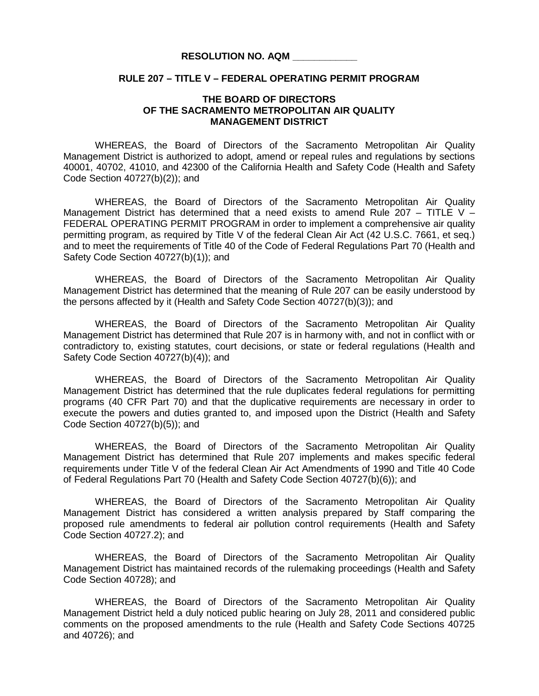## **RESOLUTION NO. AQM \_\_\_\_\_\_\_\_\_\_\_\_**

## **RULE 207 – TITLE V – FEDERAL OPERATING PERMIT PROGRAM**

## **THE BOARD OF DIRECTORS OF THE SACRAMENTO METROPOLITAN AIR QUALITY MANAGEMENT DISTRICT**

WHEREAS, the Board of Directors of the Sacramento Metropolitan Air Quality Management District is authorized to adopt, amend or repeal rules and regulations by sections 40001, 40702, 41010, and 42300 of the California Health and Safety Code (Health and Safety Code Section 40727(b)(2)); and

WHEREAS, the Board of Directors of the Sacramento Metropolitan Air Quality Management District has determined that a need exists to amend Rule 207 - TITLE V -FEDERAL OPERATING PERMIT PROGRAM in order to implement a comprehensive air quality permitting program, as required by Title V of the federal Clean Air Act (42 U.S.C. 7661, et seq.) and to meet the requirements of Title 40 of the Code of Federal Regulations Part 70 (Health and Safety Code Section 40727(b)(1)); and

WHEREAS, the Board of Directors of the Sacramento Metropolitan Air Quality Management District has determined that the meaning of Rule 207 can be easily understood by the persons affected by it (Health and Safety Code Section 40727(b)(3)); and

WHEREAS, the Board of Directors of the Sacramento Metropolitan Air Quality Management District has determined that Rule 207 is in harmony with, and not in conflict with or contradictory to, existing statutes, court decisions, or state or federal regulations (Health and Safety Code Section 40727(b)(4)); and

WHEREAS, the Board of Directors of the Sacramento Metropolitan Air Quality Management District has determined that the rule duplicates federal regulations for permitting programs (40 CFR Part 70) and that the duplicative requirements are necessary in order to execute the powers and duties granted to, and imposed upon the District (Health and Safety Code Section 40727(b)(5)); and

WHEREAS, the Board of Directors of the Sacramento Metropolitan Air Quality Management District has determined that Rule 207 implements and makes specific federal requirements under Title V of the federal Clean Air Act Amendments of 1990 and Title 40 Code of Federal Regulations Part 70 (Health and Safety Code Section 40727(b)(6)); and

WHEREAS, the Board of Directors of the Sacramento Metropolitan Air Quality Management District has considered a written analysis prepared by Staff comparing the proposed rule amendments to federal air pollution control requirements (Health and Safety Code Section 40727.2); and

WHEREAS, the Board of Directors of the Sacramento Metropolitan Air Quality Management District has maintained records of the rulemaking proceedings (Health and Safety Code Section 40728); and

WHEREAS, the Board of Directors of the Sacramento Metropolitan Air Quality Management District held a duly noticed public hearing on July 28, 2011 and considered public comments on the proposed amendments to the rule (Health and Safety Code Sections 40725 and 40726); and